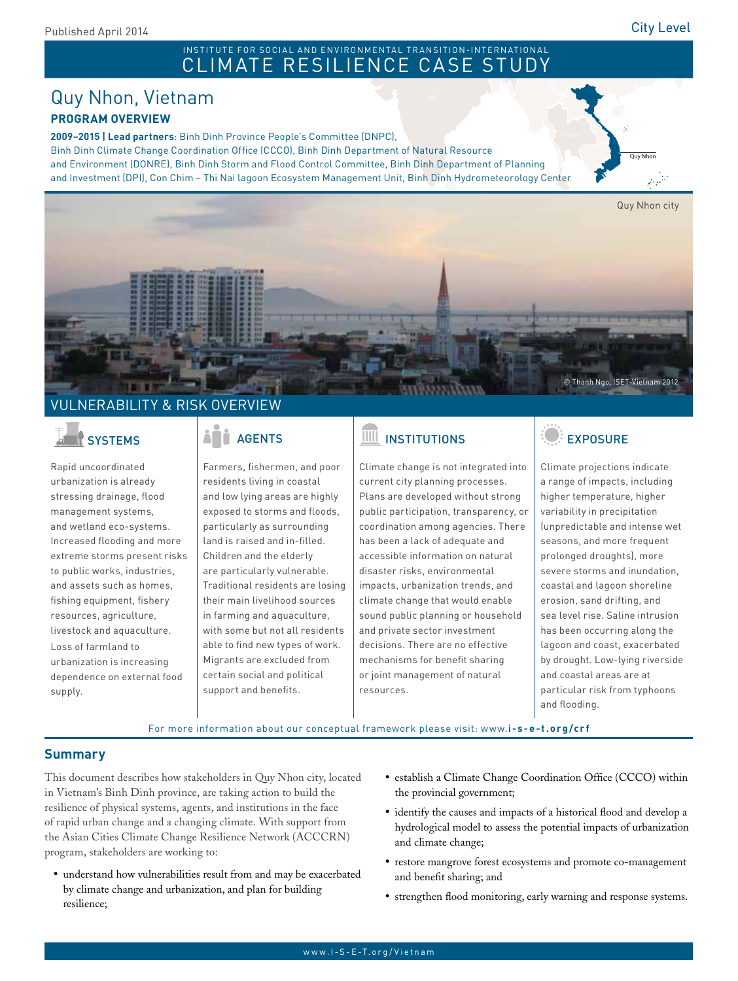Quy Nhon

#### Pakistan INSTITUTE FOR SOCIAL AND ENVIRONMENTAL TRANSITION-INTERNATIONAL CLIMATE RESILIENCE CASE STUDY

### Quy Nhon, Vietnam **PROGRAM OVERVIEW**

**2009–2015 | Lead partners**: Binh Dinh Province People's Committee (DNPC),

Binh Dinh Climate Change Coordination Office (CCCO), Binh Dinh Department of Natural Resource and Environment (DONRE), Binh Dinh Storm and Flood Control Committee, Binh Dinh Department of Planning and Investment (DPI), Con Chim – Thi Nai lagoon Ecosystem Management Unit, Binh Dinh Hydrometeorology Center



### <u>NERABILITY & RISK OVERVIEW</u>

Rapid uncoordinated urbanization is already stressing drainage, flood management systems, and wetland eco-systems. Increased flooding and more extreme storms present risks to public works, industries, and assets such as homes, fishing equipment, fishery resources, agriculture, livestock and aquaculture. Loss of farmland to urbanization is increasing dependence on external food supply.

Farmers, fishermen, and poor residents living in coastal and low lying areas are highly exposed to storms and floods, particularly as surrounding land is raised and in-filled. Children and the elderly are particularly vulnerable. Traditional residents are losing their main livelihood sources in farming and aquaculture, with some but not all residents able to find new types of work. Migrants are excluded from certain social and political support and benefits.

## SYSTEMS | AGENTS | III INSTITUTIONS | EXPOSURE

Climate change is not integrated into current city planning processes. Plans are developed without strong public participation, transparency, or coordination among agencies. There has been a lack of adequate and accessible information on natural disaster risks, environmental impacts, urbanization trends, and climate change that would enable sound public planning or household and private sector investment decisions. There are no effective mechanisms for benefit sharing or joint management of natural resources.



Climate projections indicate a range of impacts, including higher temperature, higher variability in precipitation (unpredictable and intense wet seasons, and more frequent prolonged droughts), more severe storms and inundation, coastal and lagoon shoreline erosion, sand drifting, and sea level rise. Saline intrusion has been occurring along the lagoon and coast, exacerbated by drought. Low-lying riverside and coastal areas are at particular risk from typhoons and flooding.

For more information about our conceptual framework please visit: www.**i-s-e-t.org/crf**

### **Summary**

This document describes how stakeholders in Quy Nhon city, located in Vietnam's Binh Dinh province, are taking action to build the resilience of physical systems, agents, and institutions in the face of rapid urban change and a changing climate. With support from the Asian Cities Climate Change Resilience Network (ACCCRN) program, stakeholders are working to:

- • understand how vulnerabilities result from and may be exacerbated by climate change and urbanization, and plan for building resilience;
- establish a Climate Change Coordination Office (CCCO) within the provincial government;
- identify the causes and impacts of a historical flood and develop a hydrological model to assess the potential impacts of urbanization and climate change;
- • restore mangrove forest ecosystems and promote co-management and benefit sharing; and
- strengthen flood monitoring, early warning and response systems.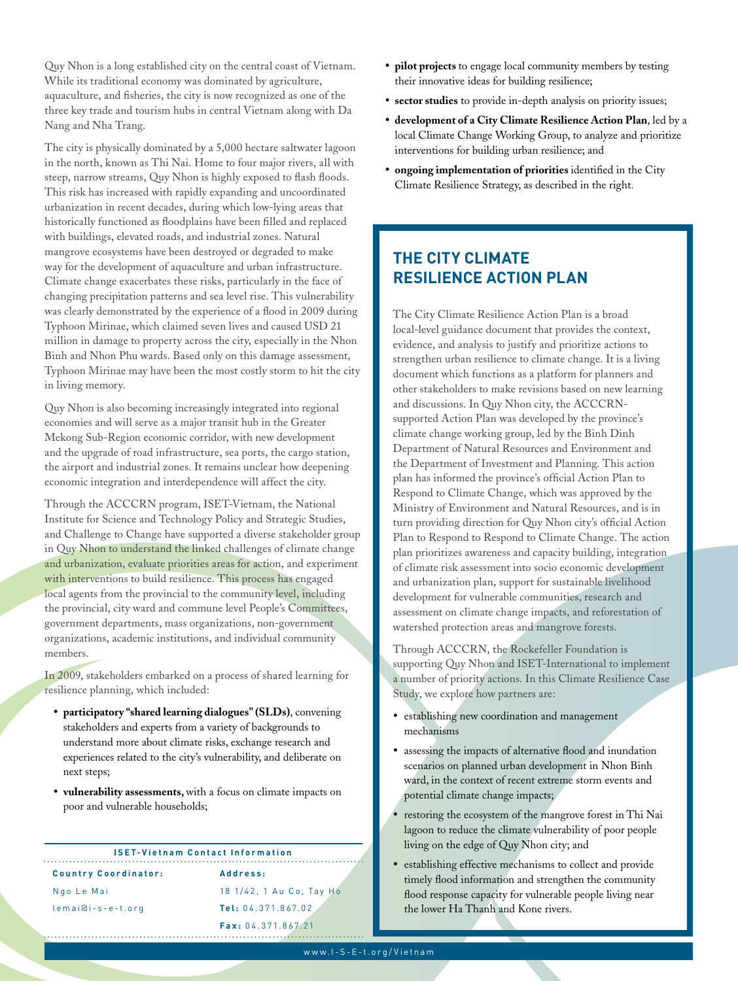Quy Nhon is a long established city on the central coast of Vietnam. While its traditional economy was dominated by agriculture, aquaculture, and fisheries, the city is now recognized as one of the three key trade and tourism hubs in central Vietnam along with Da Nang and Nha Trang.

The city is physically dominated by a 5,000 hectare saltwater lagoon in the north, known as Thi Nai. Home to four major rivers, all with steep, narrow streams, Quy Nhon is highly exposed to flash floods. This risk has increased with rapidly expanding and uncoordinated urbanization in recent decades, during which low-lying areas that historically functioned as floodplains have been filled and replaced with buildings, elevated roads, and industrial zones. Natural mangrove ecosystems have been destroyed or degraded to make way for the development of aquaculture and urban infrastructure. Climate change exacerbates these risks, particularly in the face of changing precipitation patterns and sea level rise. This vulnerability was clearly demonstrated by the experience of a flood in 2009 during Typhoon Mirinae, which claimed seven lives and caused USD 21 million in damage to property across the city, especially in the Nhon Binh and Nhon Phu wards. Based only on this damage assessment, Typhoon Mirinae may have been the most costly storm to hit the city in living memory.

Quy Nhon is also becoming increasingly integrated into regional economies and will serve as a major transit hub in the Greater Mekong Sub-Region economic corridor, with new development and the upgrade of road infrastructure, sea ports, the cargo station, the airport and industrial zones. It remains unclear how deepening economic integration and interdependence will affect the city.

Through the ACCCRN program, ISET-Vietnam, the National Institute for Science and Technology Policy and Strategic Studies, and Challenge to Change have supported a diverse stakeholder group in Quy Nhon to understand the linked challenges of climate change and urbanization, evaluate priorities areas for action, and experiment with interventions to build resilience. This process has engaged local agents from the provincial to the community level, including the provincial, city ward and commune level People's Committees, government departments, mass organizations, non-government organizations, academic institutions, and individual community members.

In 2009, stakeholders embarked on a process of shared learning for resilience planning, which included:

- • **participatory "shared learning dialogues" (SLDs)**, convening stakeholders and experts from a variety of backgrounds to understand more about climate risks, exchange research and experiences related to the city's vulnerability, and deliberate on next steps;
- • **vulnerability assessments,** with a focus on climate impacts on poor and vulnerable households;

#### **ISET-Vietnam Contact Information**

**Country Coordinator:** Ngo Le Mai lemai@i-s-e-t.org

**Address:** 18 1/42, 1 Au Co, Tay Ho **Tel:** 04.371.867.02 **Fax:** 04.371.867.21

- • **pilot projects** to engage local community members by testing their innovative ideas for building resilience;
- • **sector studies** to provide in-depth analysis on priority issues;
- • **development of a City Climate Resilience Action Plan**, led by a local Climate Change Working Group, to analyze and prioritize interventions for building urban resilience; and
- • **ongoing implementation of priorities** identified in the City Climate Resilience Strategy, as described in the right.

### **THE CITY CLIMATE RESILIENCE ACTION PLAN**

The City Climate Resilience Action Plan is a broad local-level guidance document that provides the context, evidence, and analysis to justify and prioritize actions to strengthen urban resilience to climate change. It is a living document which functions as a platform for planners and other stakeholders to make revisions based on new learning and discussions. In Quy Nhon city, the ACCCRNsupported Action Plan was developed by the province's climate change working group, led by the Binh Dinh Department of Natural Resources and Environment and the Department of Investment and Planning. This action plan has informed the province's official Action Plan to Respond to Climate Change, which was approved by the Ministry of Environment and Natural Resources, and is in turn providing direction for Quy Nhon city's official Action Plan to Respond to Respond to Climate Change. The action plan prioritizes awareness and capacity building, integration of climate risk assessment into socio economic development and urbanization plan, support for sustainable livelihood development for vulnerable communities, research and assessment on climate change impacts, and reforestation of watershed protection areas and mangrove forests.

Through ACCCRN, the Rockefeller Foundation is supporting Quy Nhon and ISET-International to implement a number of priority actions. In this Climate Resilience Case Study, we explore how partners are:

- • establishing new coordination and management mechanisms
- • assessing the impacts of alternative flood and inundation scenarios on planned urban development in Nhon Binh ward, in the context of recent extreme storm events and potential climate change impacts;
- restoring the ecosystem of the mangrove forest in Thi Nai lagoon to reduce the climate vulnerability of poor people living on the edge of Quy Nhon city; and
- • establishing effective mechanisms to collect and provide timely flood information and strengthen the community flood response capacity for vulnerable people living near the lower Ha Thanh and Kone rivers.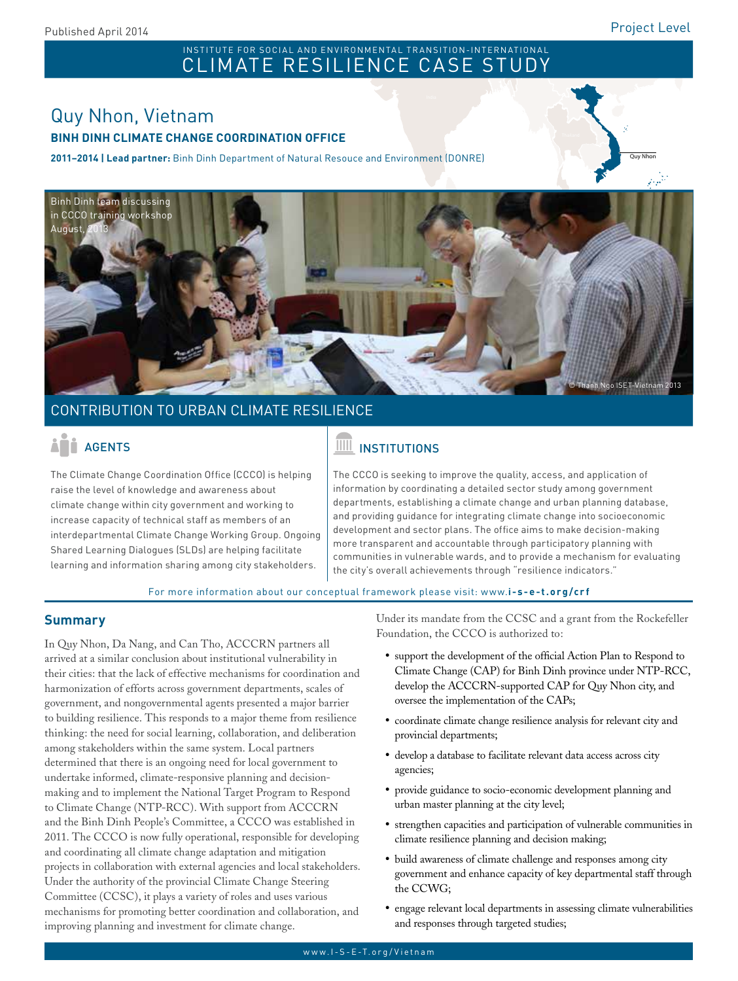Quy Nhon

## Pakistan INSTITUTE FOR SOCIAL AND ENVIRONMENTAL TRANSITION-INTERNATIONAL<br>CLIMATE RESILIENCE CASE STUDY

### Quy Nhon, Vietnam **BINH DINH CLIMATE CHANGE COORDINATION OFFICE**

**2011–2014 | Lead partner:** Binh Dinh Department of Natural Resouce and Environment (DONRE)



### CONTRIBUTION TO URBAN CLIMATE RESILIENCE

The Climate Change Coordination Office (CCCO) is helping raise the level of knowledge and awareness about climate change within city government and working to increase capacity of technical staff as members of an interdepartmental Climate Change Working Group. Ongoing Shared Learning Dialogues (SLDs) are helping facilitate learning and information sharing among city stakeholders.

# ACENTS AGENTS AND THE INSTITUTIONS

The CCCO is seeking to improve the quality, access, and application of information by coordinating a detailed sector study among government departments, establishing a climate change and urban planning database, and providing guidance for integrating climate change into socioeconomic development and sector plans. The office aims to make decision-making more transparent and accountable through participatory planning with communities in vulnerable wards, and to provide a mechanism for evaluating the city's overall achievements through "resilience indicators."

For more information about our conceptual framework please visit: www.**i-s-e-t.org/crf**

### **Summary**

In Quy Nhon, Da Nang, and Can Tho, ACCCRN partners all arrived at a similar conclusion about institutional vulnerability in their cities: that the lack of effective mechanisms for coordination and harmonization of efforts across government departments, scales of government, and nongovernmental agents presented a major barrier to building resilience. This responds to a major theme from resilience thinking: the need for social learning, collaboration, and deliberation among stakeholders within the same system. Local partners determined that there is an ongoing need for local government to undertake informed, climate-responsive planning and decisionmaking and to implement the National Target Program to Respond to Climate Change (NTP-RCC). With support from ACCCRN and the Binh Dinh People's Committee, a CCCO was established in 2011. The CCCO is now fully operational, responsible for developing and coordinating all climate change adaptation and mitigation projects in collaboration with external agencies and local stakeholders. Under the authority of the provincial Climate Change Steering Committee (CCSC), it plays a variety of roles and uses various mechanisms for promoting better coordination and collaboration, and improving planning and investment for climate change.

Under its mandate from the CCSC and a grant from the Rockefeller Foundation, the CCCO is authorized to:

- • support the development of the official Action Plan to Respond to Climate Change (CAP) for Binh Dinh province under NTP-RCC, develop the ACCCRN-supported CAP for Quy Nhon city, and oversee the implementation of the CAPs;
- • coordinate climate change resilience analysis for relevant city and provincial departments;
- • develop a database to facilitate relevant data access across city agencies;
- • provide guidance to socio-economic development planning and urban master planning at the city level;
- • strengthen capacities and participation of vulnerable communities in climate resilience planning and decision making;
- • build awareness of climate challenge and responses among city government and enhance capacity of key departmental staff through the CCWG;
- • engage relevant local departments in assessing climate vulnerabilities and responses through targeted studies;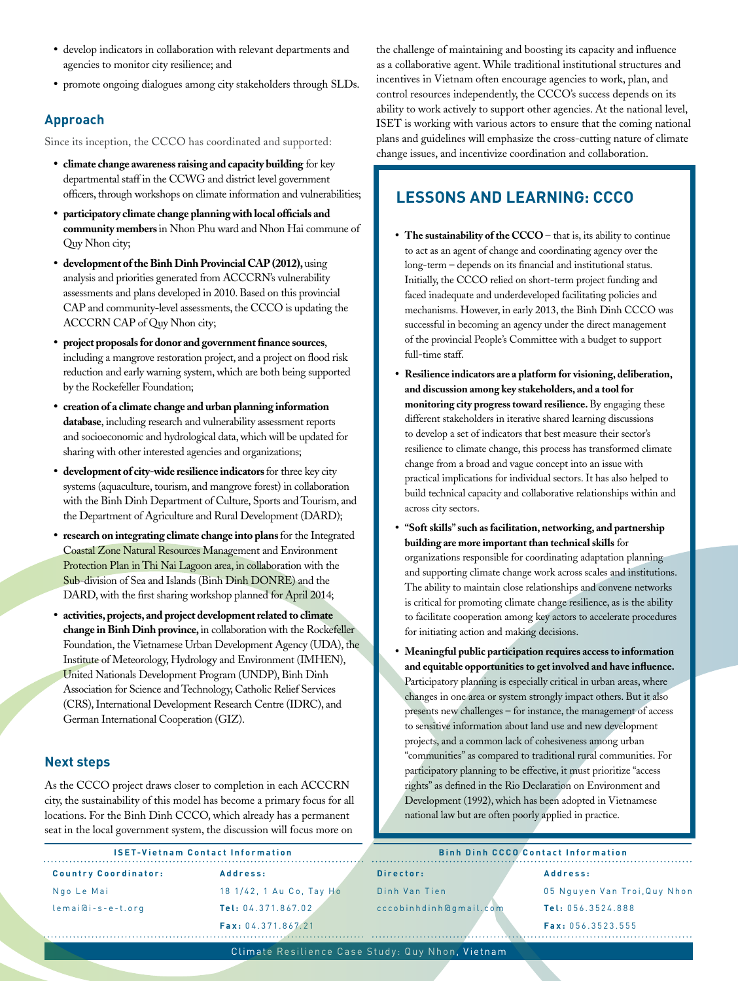- • develop indicators in collaboration with relevant departments and agencies to monitor city resilience; and
- • promote ongoing dialogues among city stakeholders through SLDs.

Since its inception, the CCCO has coordinated and supported:

- • **climate change awareness raising and capacity building** for key departmental staff in the CCWG and district level government officers, through workshops on climate information and vulnerabilities;
- • **participatory climate change planning with local officials and community members** in Nhon Phu ward and Nhon Hai commune of Quy Nhon city;
- • **development of the Binh Dinh Provincial CAP (2012),** using analysis and priorities generated from ACCCRN's vulnerability assessments and plans developed in 2010. Based on this provincial CAP and community-level assessments, the CCCO is updating the ACCCRN CAP of Quy Nhon city;
- project proposals for donor and government finance sources, including a mangrove restoration project, and a project on flood risk reduction and early warning system, which are both being supported by the Rockefeller Foundation;
- creation of a climate change and urban planning information **database**, including research and vulnerability assessment reports and socioeconomic and hydrological data, which will be updated for sharing with other interested agencies and organizations;
- • **development of city-wide resilience indicators** for three key city systems (aquaculture, tourism, and mangrove forest) in collaboration with the Binh Dinh Department of Culture, Sports and Tourism, and the Department of Agriculture and Rural Development (DARD);
- research on integrating climate change into plans for the Integrated Coastal Zone Natural Resources Management and Environment Protection Plan in Thi Nai Lagoon area, in collaboration with the Sub-division of Sea and Islands (Binh Dinh DONRE) and the DARD, with the first sharing workshop planned for April 2014;
- activities, projects, and project development related to climate **change in Binh Dinh province,** in collaboration with the Rockefeller Foundation, the Vietnamese Urban Development Agency (UDA), the Institute of Meteorology, Hydrology and Environment (IMHEN), United Nationals Development Program (UNDP), Binh Dinh Association for Science and Technology, Catholic Relief Services (CRS), International Development Research Centre (IDRC), and German International Cooperation (GIZ).

### **Next steps**

As the CCCO project draws closer to completion in each ACCCRN city, the sustainability of this model has become a primary focus for all locations. For the Binh Dinh CCCO, which already has a permanent seat in the local government system, the discussion will focus more on

the challenge of maintaining and boosting its capacity and influence as a collaborative agent. While traditional institutional structures and incentives in Vietnam often encourage agencies to work, plan, and control resources independently, the CCCO's success depends on its ability to work actively to support other agencies. At the national level, ISET is working with various actors to ensure that the coming national plans and guidelines will emphasize the cross-cutting nature of climate change issues, and incentivize coordination and collaboration.

### **LESSONS AND LEARNING: CCCO**

- The sustainability of the CCCO that is, its ability to continue to act as an agent of change and coordinating agency over the long-term – depends on its financial and institutional status. Initially, the CCCO relied on short-term project funding and faced inadequate and underdeveloped facilitating policies and mechanisms. However, in early 2013, the Binh Dinh CCCO was successful in becoming an agency under the direct management of the provincial People's Committee with a budget to support full-time staff.
- • **Resilience indicators are a platform for visioning, deliberation, and discussion among key stakeholders, and a tool for monitoring city progress toward resilience.** By engaging these different stakeholders in iterative shared learning discussions to develop a set of indicators that best measure their sector's resilience to climate change, this process has transformed climate change from a broad and vague concept into an issue with practical implications for individual sectors. It has also helped to build technical capacity and collaborative relationships within and across city sectors.
- • **"Soft skills" such as facilitation, networking, and partnership building are more important than technical skills** for organizations responsible for coordinating adaptation planning and supporting climate change work across scales and institutions. The ability to maintain close relationships and convene networks is critical for promoting climate change resilience, as is the ability to facilitate cooperation among key actors to accelerate procedures for initiating action and making decisions.
- Meaningful public participation requires access to information **and equitable opportunities to get involved and have influence.**  Participatory planning is especially critical in urban areas, where changes in one area or system strongly impact others. But it also presents new challenges – for instance, the management of access to sensitive information about land use and new development projects, and a common lack of cohesiveness among urban "communities" as compared to traditional rural communities. For participatory planning to be effective, it must prioritize "access rights" as defined in the Rio Declaration on Environment and Development (1992), which has been adopted in Vietnamese national law but are often poorly applied in practice.

| <b>ISET-Vietnam Contact Information</b> |                          | <b>Binh Dinh CCCO Contact Information</b> |                              |
|-----------------------------------------|--------------------------|-------------------------------------------|------------------------------|
| <b>Country Coordinator:</b>             | Address:                 | Director:                                 | Address:                     |
| Ngo Le Mai                              | 18 1/42, 1 Au Co, Tay Ho | Dinh Van Tien                             | 05 Nguyen Van Troi, Quy Nhon |
| lemai@i-s-e-t.org                       | Tel: 04.371.867.02       | cccobinhdinh@qmail.com                    | Tel: 056.3524.888            |
|                                         | Fax: 04.371.867.21       |                                           | Fax: 056.3523.555            |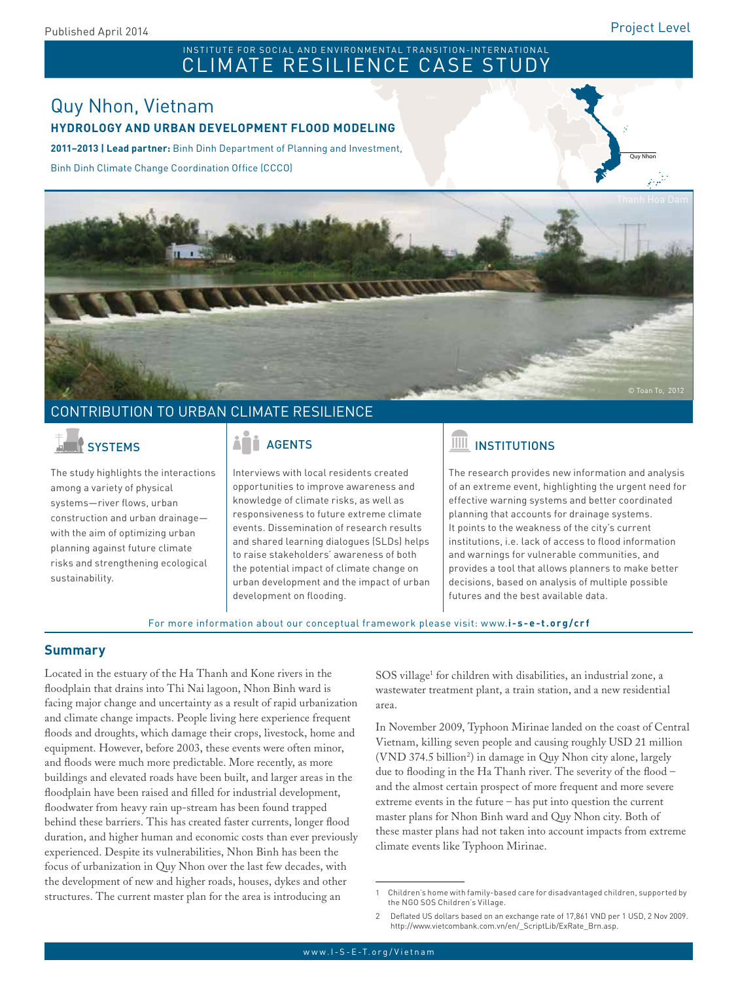## Pakistan INSTITUTE FOR SOCIAL AND ENVIRONMENTAL TRANSITION-INTERNATIONAL<br>CLIMATE RESILIENCE CASE STUDY

### Quy Nhon, Vietnam **HYDROLOGY AND URBAN DEVELOPMENT FLOOD MODELING**

**2011–2013 | Lead partner:** Binh Dinh Department of Planning and Investment,

Binh Dinh Climate Change Coordination Office (CCCO)

Quy Nhon



### CONTRIBUTION TO URBAN CLIMATE RESILIENCE

The study highlights the interactions among a variety of physical systems—river flows, urban construction and urban drainage with the aim of optimizing urban planning against future climate risks and strengthening ecological sustainability.

Interviews with local residents created opportunities to improve awareness and knowledge of climate risks, as well as responsiveness to future extreme climate events. Dissemination of research results and shared learning dialogues (SLDs) helps to raise stakeholders' awareness of both the potential impact of climate change on urban development and the impact of urban development on flooding.

# SYSTEMS **AGENTS** AGENTS **INSTITUTIONS**

The research provides new information and analysis of an extreme event, highlighting the urgent need for effective warning systems and better coordinated planning that accounts for drainage systems. It points to the weakness of the city's current institutions, i.e. lack of access to flood information and warnings for vulnerable communities, and provides a tool that allows planners to make better decisions, based on analysis of multiple possible futures and the best available data.

For more information about our conceptual framework please visit: www.**i-s-e-t.org/crf**

### **Summary**

Located in the estuary of the Ha Thanh and Kone rivers in the floodplain that drains into Thi Nai lagoon, Nhon Binh ward is facing major change and uncertainty as a result of rapid urbanization and climate change impacts. People living here experience frequent floods and droughts, which damage their crops, livestock, home and equipment. However, before 2003, these events were often minor, and floods were much more predictable. More recently, as more buildings and elevated roads have been built, and larger areas in the floodplain have been raised and filled for industrial development, floodwater from heavy rain up-stream has been found trapped behind these barriers. This has created faster currents, longer flood duration, and higher human and economic costs than ever previously experienced. Despite its vulnerabilities, Nhon Binh has been the focus of urbanization in Quy Nhon over the last few decades, with the development of new and higher roads, houses, dykes and other structures. The current master plan for the area is introducing an

SOS village<sup>1</sup> for children with disabilities, an industrial zone, a wastewater treatment plant, a train station, and a new residential area.

In November 2009, Typhoon Mirinae landed on the coast of Central Vietnam, killing seven people and causing roughly USD 21 million (VND 374.5 billion2 ) in damage in Quy Nhon city alone, largely due to flooding in the Ha Thanh river. The severity of the flood – and the almost certain prospect of more frequent and more severe extreme events in the future – has put into question the current master plans for Nhon Binh ward and Quy Nhon city. Both of these master plans had not taken into account impacts from extreme climate events like Typhoon Mirinae.

<sup>1</sup> Children's home with family-based care for disadvantaged children, supported by the NGO SOS Children's Village.

<sup>2</sup> Deflated US dollars based on an exchange rate of 17,861 VND per 1 USD, 2 Nov 2009. http://www.vietcombank.com.vn/en/\_ScriptLib/ExRate\_Brn.asp.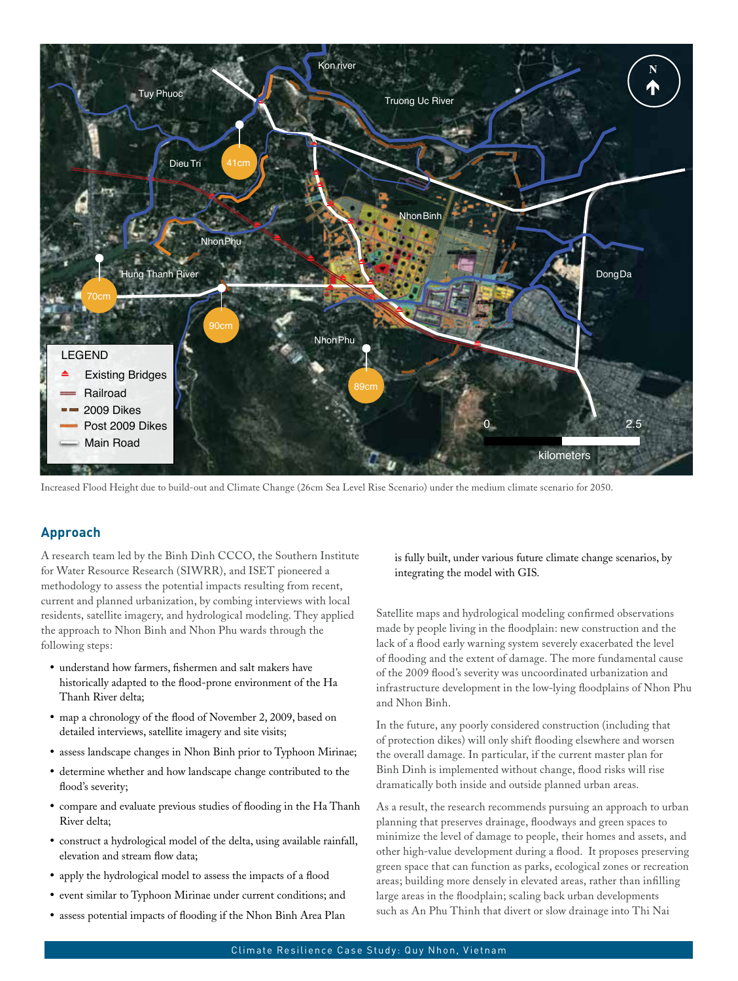

Increased Flood Height due to build-out and Climate Change (26cm Sea Level Rise Scenario) under the medium climate scenario for 2050.

A research team led by the Binh Dinh CCCO, the Southern Institute for Water Resource Research (SIWRR), and ISET pioneered a methodology to assess the potential impacts resulting from recent, current and planned urbanization, by combing interviews with local residents, satellite imagery, and hydrological modeling. They applied the approach to Nhon Binh and Nhon Phu wards through the following steps:

- • understand how farmers, fishermen and salt makers have historically adapted to the flood-prone environment of the Ha Thanh River delta;
- map a chronology of the flood of November 2, 2009, based on detailed interviews, satellite imagery and site visits;
- assess landscape changes in Nhon Binh prior to Typhoon Mirinae;
- • determine whether and how landscape change contributed to the flood's severity;
- compare and evaluate previous studies of flooding in the Ha Thanh River delta;
- • construct a hydrological model of the delta, using available rainfall, elevation and stream flow data;
- apply the hydrological model to assess the impacts of a flood
- event similar to Typhoon Mirinae under current conditions; and
- assess potential impacts of flooding if the Nhon Binh Area Plan

is fully built, under various future climate change scenarios, by integrating the model with GIS.

Satellite maps and hydrological modeling confirmed observations made by people living in the floodplain: new construction and the lack of a flood early warning system severely exacerbated the level of flooding and the extent of damage. The more fundamental cause of the 2009 flood's severity was uncoordinated urbanization and infrastructure development in the low-lying floodplains of Nhon Phu and Nhon Binh.

In the future, any poorly considered construction (including that of protection dikes) will only shift flooding elsewhere and worsen the overall damage. In particular, if the current master plan for Binh Dinh is implemented without change, flood risks will rise dramatically both inside and outside planned urban areas.

As a result, the research recommends pursuing an approach to urban planning that preserves drainage, floodways and green spaces to minimize the level of damage to people, their homes and assets, and other high-value development during a flood. It proposes preserving green space that can function as parks, ecological zones or recreation areas; building more densely in elevated areas, rather than infilling large areas in the floodplain; scaling back urban developments such as An Phu Thinh that divert or slow drainage into Thi Nai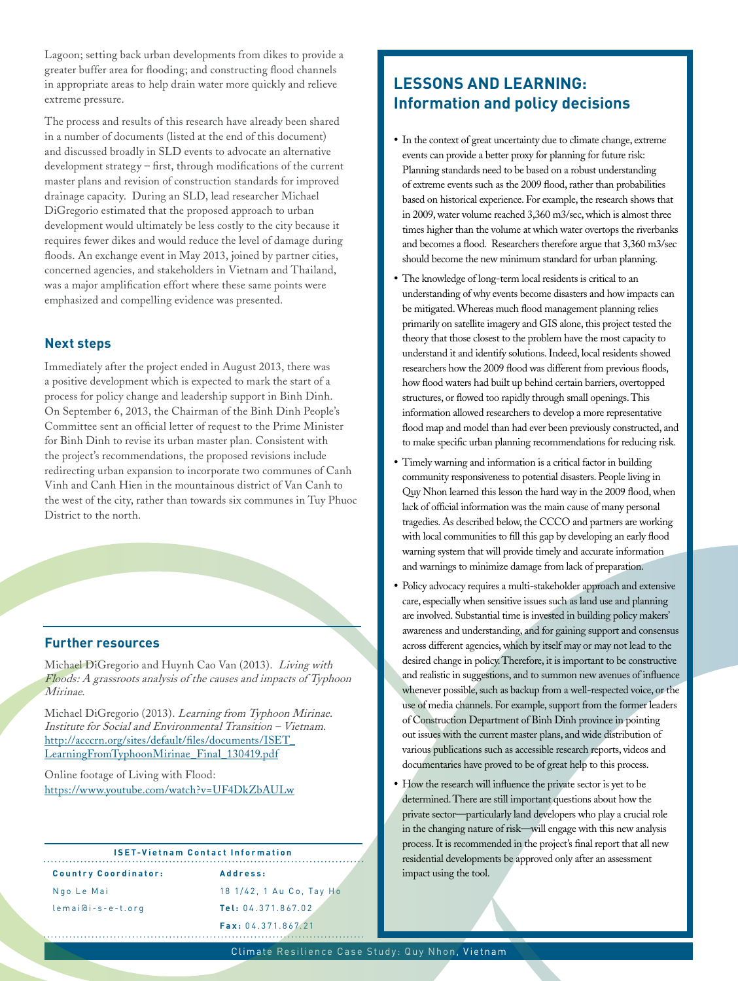Lagoon; setting back urban developments from dikes to provide a greater buffer area for flooding; and constructing flood channels in appropriate areas to help drain water more quickly and relieve extreme pressure.

The process and results of this research have already been shared in a number of documents (listed at the end of this document) and discussed broadly in SLD events to advocate an alternative development strategy – first, through modifications of the current master plans and revision of construction standards for improved drainage capacity. During an SLD, lead researcher Michael DiGregorio estimated that the proposed approach to urban development would ultimately be less costly to the city because it requires fewer dikes and would reduce the level of damage during floods. An exchange event in May 2013, joined by partner cities, concerned agencies, and stakeholders in Vietnam and Thailand, was a major amplification effort where these same points were emphasized and compelling evidence was presented.

### **Next steps**

Immediately after the project ended in August 2013, there was a positive development which is expected to mark the start of a process for policy change and leadership support in Binh Dinh. On September 6, 2013, the Chairman of the Binh Dinh People's Committee sent an official letter of request to the Prime Minister for Binh Dinh to revise its urban master plan. Consistent with the project's recommendations, the proposed revisions include redirecting urban expansion to incorporate two communes of Canh Vinh and Canh Hien in the mountainous district of Van Canh to the west of the city, rather than towards six communes in Tuy Phuoc District to the north.

### **Further resources**

Michael DiGregorio and Huynh Cao Van (2013). Living with Floods: A grassroots analysis of the causes and impacts of Typhoon Mirinae.

Michael DiGregorio (2013). Learning from Typhoon Mirinae. Institute for Social and Environmental Transition – Vietnam. [http://acccrn.org/sites/default/files/documents/ISET\\_](http://acccrn.org/sites/default/files/documents/ISET_LearningFromTyphoonMirinae_Final_130419.pdf) [LearningFromTyphoonMirinae\\_Final\\_130419.pdf](http://acccrn.org/sites/default/files/documents/ISET_LearningFromTyphoonMirinae_Final_130419.pdf)

Online footage of Living with Flood: <https://www.youtube.com/watch?v=UF4DkZbAULw>

#### **ISET-Vietnam Contact Information**

**Country Coordinator:** Ngo Le Mai

lemai@i-s-e-t.org

**Address:** 18 1/42, 1 Au Co, Tay Ho **Tel:** 04.371.867.02 **Fax:** 04.371.867.21

### **LESSONS AND LEARNING: Information and policy decisions**

- In the context of great uncertainty due to climate change, extreme events can provide a better proxy for planning for future risk: Planning standards need to be based on a robust understanding of extreme events such as the 2009 flood, rather than probabilities based on historical experience. For example, the research shows that in 2009, water volume reached 3,360 m3/sec, which is almost three times higher than the volume at which water overtops the riverbanks and becomes a flood. Researchers therefore argue that 3,360 m3/sec should become the new minimum standard for urban planning.
- The knowledge of long-term local residents is critical to an understanding of why events become disasters and how impacts can be mitigated. Whereas much flood management planning relies primarily on satellite imagery and GIS alone, this project tested the theory that those closest to the problem have the most capacity to understand it and identify solutions. Indeed, local residents showed researchers how the 2009 flood was different from previous floods, how flood waters had built up behind certain barriers, overtopped structures, or flowed too rapidly through small openings. This information allowed researchers to develop a more representative flood map and model than had ever been previously constructed, and to make specific urban planning recommendations for reducing risk.
- Timely warning and information is a critical factor in building community responsiveness to potential disasters. People living in Quy Nhon learned this lesson the hard way in the 2009 flood, when lack of official information was the main cause of many personal tragedies. As described below, the CCCO and partners are working with local communities to fill this gap by developing an early flood warning system that will provide timely and accurate information and warnings to minimize damage from lack of preparation.
- Policy advocacy requires a multi-stakeholder approach and extensive care, especially when sensitive issues such as land use and planning are involved. Substantial time is invested in building policy makers' awareness and understanding, and for gaining support and consensus across different agencies, which by itself may or may not lead to the desired change in policy. Therefore, it is important to be constructive and realistic in suggestions, and to summon new avenues of influence whenever possible, such as backup from a well-respected voice, or the use of media channels. For example, support from the former leaders of Construction Department of Binh Dinh province in pointing out issues with the current master plans, and wide distribution of various publications such as accessible research reports, videos and documentaries have proved to be of great help to this process.
- How the research will influence the private sector is yet to be determined. There are still important questions about how the private sector—particularly land developers who play a crucial role in the changing nature of risk—will engage with this new analysis process. It is recommended in the project's final report that all new residential developments be approved only after an assessment impact using the tool.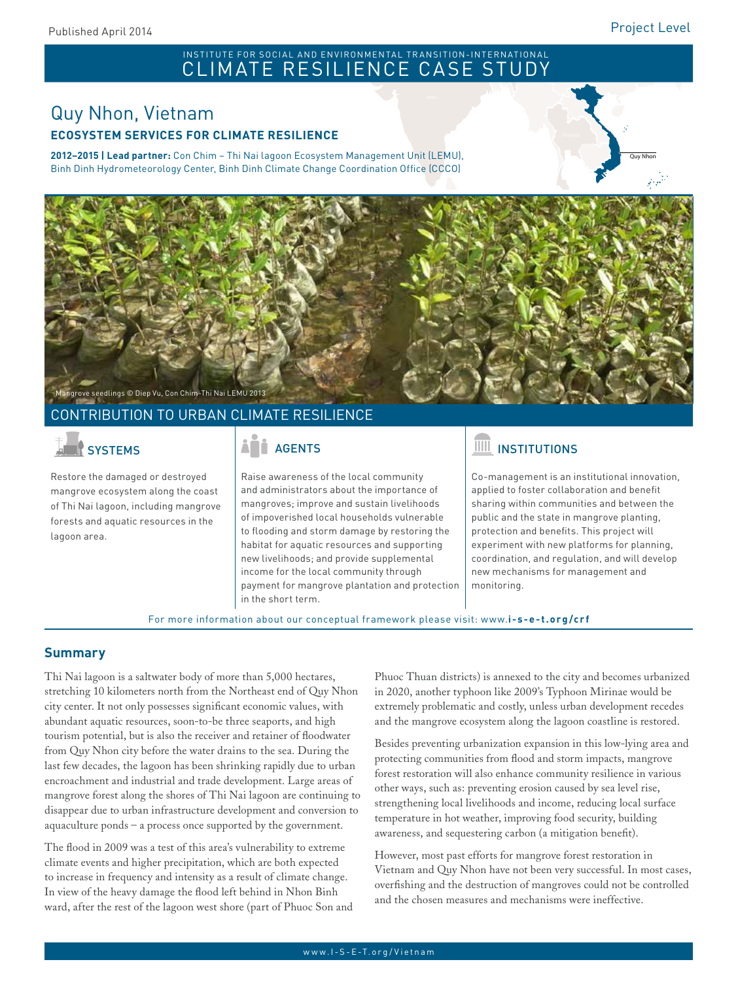### INSTITUTE FOR SOCIAL AND ENVIRONMENTAL TRANSITION-INTERNATIONAL CLIMATE RESILIENCE CASE STUDY

## Quy Nhon, Vietnam **ECOSYSTEM SERVICES FOR CLIMATE RESILIENCE**

**2012–2015 | Lead partner:** Con Chim – Thi Nai lagoon Ecosystem Management Unit (LEMU), Binh Dinh Hydrometeorology Center, Binh Dinh Climate Change Coordination Office (CCCO)





### CONTRIBUTION TO URBAN CLIMATE RESILIENCE

Restore the damaged or destroyed mangrove ecosystem along the coast of Thi Nai lagoon, including mangrove forests and aquatic resources in the lagoon area.

Raise awareness of the local community and administrators about the importance of mangroves; improve and sustain livelihoods of impoverished local households vulnerable to flooding and storm damage by restoring the habitat for aquatic resources and supporting new livelihoods; and provide supplemental income for the local community through payment for mangrove plantation and protection in the short term.

## SYSTEMS | AND AGENTS | AGENTS | AGENTS | AGENTS

Co-management is an institutional innovation, applied to foster collaboration and benefit sharing within communities and between the public and the state in mangrove planting, protection and benefits. This project will experiment with new platforms for planning, coordination, and regulation, and will develop new mechanisms for management and monitoring.

For more information about our conceptual framework please visit: www.**i-s-e-t.org/crf**

### **Summary**

Thi Nai lagoon is a saltwater body of more than 5,000 hectares, stretching 10 kilometers north from the Northeast end of Quy Nhon city center. It not only possesses significant economic values, with abundant aquatic resources, soon-to-be three seaports, and high tourism potential, but is also the receiver and retainer of floodwater from Quy Nhon city before the water drains to the sea. During the last few decades, the lagoon has been shrinking rapidly due to urban encroachment and industrial and trade development. Large areas of mangrove forest along the shores of Thi Nai lagoon are continuing to disappear due to urban infrastructure development and conversion to aquaculture ponds – a process once supported by the government.

The flood in 2009 was a test of this area's vulnerability to extreme climate events and higher precipitation, which are both expected to increase in frequency and intensity as a result of climate change. In view of the heavy damage the flood left behind in Nhon Binh ward, after the rest of the lagoon west shore (part of Phuoc Son and Phuoc Thuan districts) is annexed to the city and becomes urbanized in 2020, another typhoon like 2009's Typhoon Mirinae would be extremely problematic and costly, unless urban development recedes and the mangrove ecosystem along the lagoon coastline is restored.

Besides preventing urbanization expansion in this low-lying area and protecting communities from flood and storm impacts, mangrove forest restoration will also enhance community resilience in various other ways, such as: preventing erosion caused by sea level rise, strengthening local livelihoods and income, reducing local surface temperature in hot weather, improving food security, building awareness, and sequestering carbon (a mitigation benefit).

However, most past efforts for mangrove forest restoration in Vietnam and Quy Nhon have not been very successful. In most cases, overfishing and the destruction of mangroves could not be controlled and the chosen measures and mechanisms were ineffective.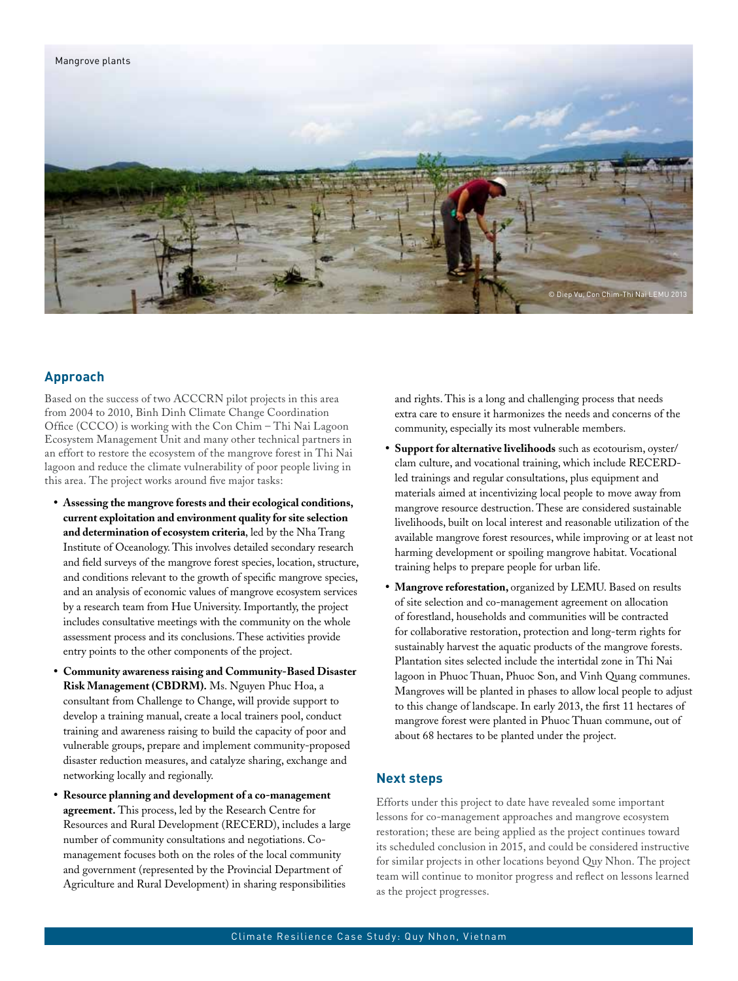

Based on the success of two ACCCRN pilot projects in this area from 2004 to 2010, Binh Dinh Climate Change Coordination Office (CCCO) is working with the Con Chim – Thi Nai Lagoon Ecosystem Management Unit and many other technical partners in an effort to restore the ecosystem of the mangrove forest in Thi Nai lagoon and reduce the climate vulnerability of poor people living in this area. The project works around five major tasks:

- • **Assessing the mangrove forests and their ecological conditions, current exploitation and environment quality for site selection and determination of ecosystem criteria**, led by the Nha Trang Institute of Oceanology. This involves detailed secondary research and field surveys of the mangrove forest species, location, structure, and conditions relevant to the growth of specific mangrove species, and an analysis of economic values of mangrove ecosystem services by a research team from Hue University. Importantly, the project includes consultative meetings with the community on the whole assessment process and its conclusions. These activities provide entry points to the other components of the project.
- • **Community awareness raising and Community-Based Disaster Risk Management (CBDRM).** Ms. Nguyen Phuc Hoa, a consultant from Challenge to Change, will provide support to develop a training manual, create a local trainers pool, conduct training and awareness raising to build the capacity of poor and vulnerable groups, prepare and implement community-proposed disaster reduction measures, and catalyze sharing, exchange and networking locally and regionally.
- • **Resource planning and development of a co-management agreement.** This process, led by the Research Centre for Resources and Rural Development (RECERD), includes a large number of community consultations and negotiations. Comanagement focuses both on the roles of the local community and government (represented by the Provincial Department of Agriculture and Rural Development) in sharing responsibilities

and rights. This is a long and challenging process that needs extra care to ensure it harmonizes the needs and concerns of the community, especially its most vulnerable members.

- • **Support for alternative livelihoods** such as ecotourism, oyster/ clam culture, and vocational training, which include RECERDled trainings and regular consultations, plus equipment and materials aimed at incentivizing local people to move away from mangrove resource destruction. These are considered sustainable livelihoods, built on local interest and reasonable utilization of the available mangrove forest resources, while improving or at least not harming development or spoiling mangrove habitat. Vocational training helps to prepare people for urban life.
- • **Mangrove reforestation,** organized by LEMU. Based on results of site selection and co-management agreement on allocation of forestland, households and communities will be contracted for collaborative restoration, protection and long-term rights for sustainably harvest the aquatic products of the mangrove forests. Plantation sites selected include the intertidal zone in Thi Nai lagoon in Phuoc Thuan, Phuoc Son, and Vinh Quang communes. Mangroves will be planted in phases to allow local people to adjust to this change of landscape. In early 2013, the first 11 hectares of mangrove forest were planted in Phuoc Thuan commune, out of about 68 hectares to be planted under the project.

### **Next steps**

Efforts under this project to date have revealed some important lessons for co-management approaches and mangrove ecosystem restoration; these are being applied as the project continues toward its scheduled conclusion in 2015, and could be considered instructive for similar projects in other locations beyond Quy Nhon. The project team will continue to monitor progress and reflect on lessons learned as the project progresses.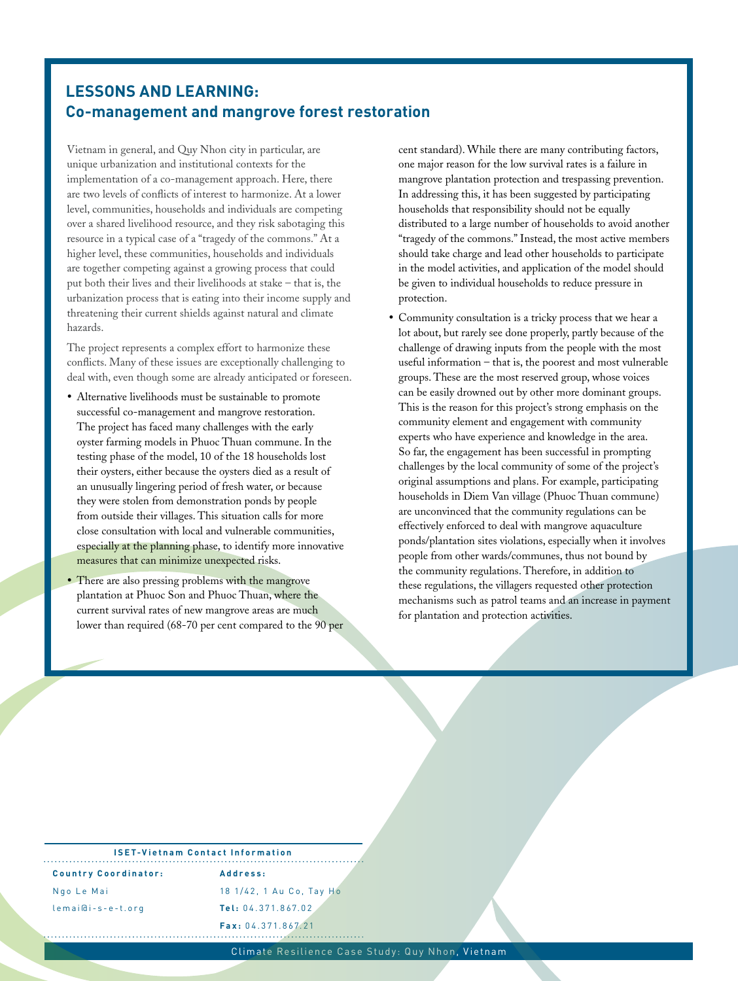### **LESSONS AND LEARNING: Co-management and mangrove forest restoration**

Vietnam in general, and Quy Nhon city in particular, are unique urbanization and institutional contexts for the implementation of a co-management approach. Here, there are two levels of conflicts of interest to harmonize. At a lower level, communities, households and individuals are competing over a shared livelihood resource, and they risk sabotaging this resource in a typical case of a "tragedy of the commons." At a higher level, these communities, households and individuals are together competing against a growing process that could put both their lives and their livelihoods at stake – that is, the urbanization process that is eating into their income supply and threatening their current shields against natural and climate hazards.

The project represents a complex effort to harmonize these conflicts. Many of these issues are exceptionally challenging to deal with, even though some are already anticipated or foreseen.

- Alternative livelihoods must be sustainable to promote successful co-management and mangrove restoration. The project has faced many challenges with the early oyster farming models in Phuoc Thuan commune. In the testing phase of the model, 10 of the 18 households lost their oysters, either because the oysters died as a result of an unusually lingering period of fresh water, or because they were stolen from demonstration ponds by people from outside their villages. This situation calls for more close consultation with local and vulnerable communities, especially at the planning phase, to identify more innovative measures that can minimize unexpected risks.
- There are also pressing problems with the mangrove plantation at Phuoc Son and Phuoc Thuan, where the current survival rates of new mangrove areas are much lower than required (68-70 per cent compared to the 90 per

cent standard). While there are many contributing factors, one major reason for the low survival rates is a failure in mangrove plantation protection and trespassing prevention. In addressing this, it has been suggested by participating households that responsibility should not be equally distributed to a large number of households to avoid another "tragedy of the commons." Instead, the most active members should take charge and lead other households to participate in the model activities, and application of the model should be given to individual households to reduce pressure in protection.

• Community consultation is a tricky process that we hear a lot about, but rarely see done properly, partly because of the challenge of drawing inputs from the people with the most useful information – that is, the poorest and most vulnerable groups. These are the most reserved group, whose voices can be easily drowned out by other more dominant groups. This is the reason for this project's strong emphasis on the community element and engagement with community experts who have experience and knowledge in the area. So far, the engagement has been successful in prompting challenges by the local community of some of the project's original assumptions and plans. For example, participating households in Diem Van village (Phuoc Thuan commune) are unconvinced that the community regulations can be effectively enforced to deal with mangrove aquaculture ponds/plantation sites violations, especially when it involves people from other wards/communes, thus not bound by the community regulations. Therefore, in addition to these regulations, the villagers requested other protection mechanisms such as patrol teams and an increase in payment for plantation and protection activities.

#### **ISET-Vietnam Contact Information**

**Country Coordinator:** Ngo Le Mai lemai@i-s-e-t.org

**Address:** 18 1/42, 1 Au Co, Tay Ho **Tel:** 04.371.867.02 **Fax:** 04.371.867.21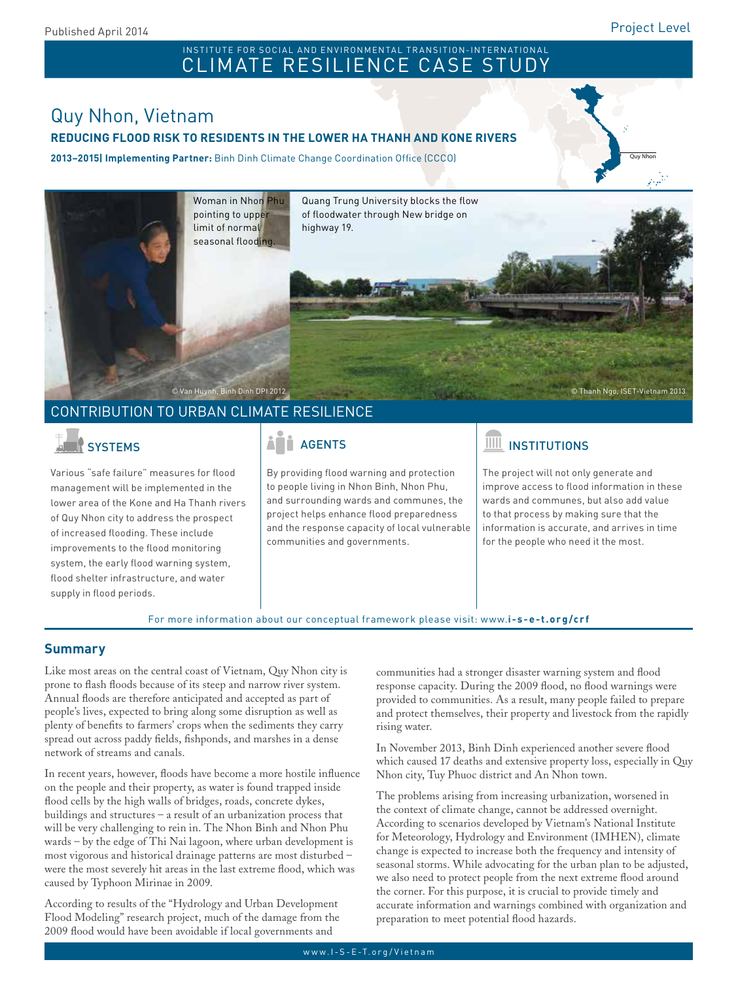Quy Nhon

#### Pakistan INSTITUTE FOR SOCIAL AND ENVIRONMENTAL TRANSITION-INTERNATIONAL CLIMATE RESILIENCE CASE STUDY

# Quy Nhon, Vietnam

### **REDUCING FLOOD RISK TO RESIDENTS IN THE LOWER HA THANH AND KONE RIVERS**

**2013–2015| Implementing Partner:** Binh Dinh Climate Change Coordination Office (CCCO)



### CONTRIBUTION TO URBAN CLIMATE RESILIENCE

Various "safe failure" measures for flood management will be implemented in the lower area of the Kone and Ha Thanh rivers of Quy Nhon city to address the prospect of increased flooding. These include improvements to the flood monitoring system, the early flood warning system, flood shelter infrastructure, and water supply in flood periods.

By providing flood warning and protection to people living in Nhon Binh, Nhon Phu, and surrounding wards and communes, the project helps enhance flood preparedness and the response capacity of local vulnerable communities and governments.

## SYSTEMS | AND | AGENTS | AGENTS | AGENTS | AGENTS | AGENTS | AGENTS | AGENTS

The project will not only generate and improve access to flood information in these wards and communes, but also add value to that process by making sure that the information is accurate, and arrives in time for the people who need it the most.

For more information about our conceptual framework please visit: www.**i-s-e-t.org/crf**

### **Summary**

Like most areas on the central coast of Vietnam, Quy Nhon city is prone to flash floods because of its steep and narrow river system. Annual floods are therefore anticipated and accepted as part of people's lives, expected to bring along some disruption as well as plenty of benefits to farmers' crops when the sediments they carry spread out across paddy fields, fishponds, and marshes in a dense network of streams and canals.

In recent years, however, floods have become a more hostile influence on the people and their property, as water is found trapped inside flood cells by the high walls of bridges, roads, concrete dykes, buildings and structures – a result of an urbanization process that will be very challenging to rein in. The Nhon Binh and Nhon Phu wards – by the edge of Thi Nai lagoon, where urban development is most vigorous and historical drainage patterns are most disturbed – were the most severely hit areas in the last extreme flood, which was caused by Typhoon Mirinae in 2009.

According to results of the "Hydrology and Urban Development Flood Modeling" research project, much of the damage from the 2009 flood would have been avoidable if local governments and

communities had a stronger disaster warning system and flood response capacity. During the 2009 flood, no flood warnings were provided to communities. As a result, many people failed to prepare and protect themselves, their property and livestock from the rapidly rising water.

In November 2013, Binh Dinh experienced another severe flood which caused 17 deaths and extensive property loss, especially in Quy Nhon city, Tuy Phuoc district and An Nhon town.

The problems arising from increasing urbanization, worsened in the context of climate change, cannot be addressed overnight. According to scenarios developed by Vietnam's National Institute for Meteorology, Hydrology and Environment (IMHEN), climate change is expected to increase both the frequency and intensity of seasonal storms. While advocating for the urban plan to be adjusted, we also need to protect people from the next extreme flood around the corner. For this purpose, it is crucial to provide timely and accurate information and warnings combined with organization and preparation to meet potential flood hazards.